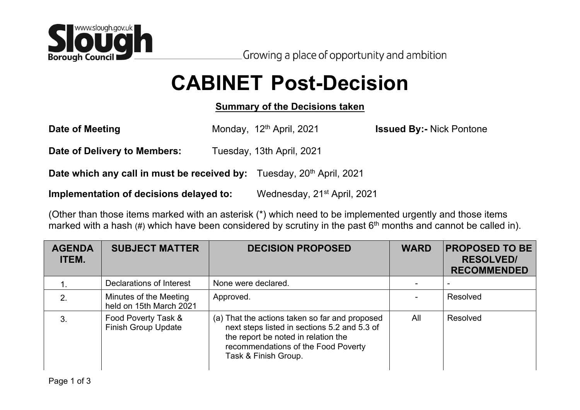

## **CABINET Post-Decision**

## **Summary of the Decisions taken**

| Date of Meeting                                                                          | Monday, 12 <sup>th</sup> April, 2021    | <b>Issued By:- Nick Pontone</b> |
|------------------------------------------------------------------------------------------|-----------------------------------------|---------------------------------|
| Date of Delivery to Members:                                                             | Tuesday, 13th April, 2021               |                                 |
| <b>Date which any call in must be received by:</b> Tuesday, 20 <sup>th</sup> April, 2021 |                                         |                                 |
| Implementation of decisions delayed to:                                                  | Wednesday, 21 <sup>st</sup> April, 2021 |                                 |

(Other than those items marked with an asterisk (\*) which need to be implemented urgently and those items marked with a hash (#) which have been considered by scrutiny in the past 6<sup>th</sup> months and cannot be called in).

| <b>AGENDA</b><br><b>ITEM.</b> | <b>SUBJECT MATTER</b>                             | <b>DECISION PROPOSED</b>                                                                                                                                                                             | <b>WARD</b> | <b>PROPOSED TO BE</b><br><b>RESOLVED/</b><br><b>RECOMMENDED</b> |
|-------------------------------|---------------------------------------------------|------------------------------------------------------------------------------------------------------------------------------------------------------------------------------------------------------|-------------|-----------------------------------------------------------------|
|                               | Declarations of Interest                          | None were declared.                                                                                                                                                                                  |             |                                                                 |
| 2.                            | Minutes of the Meeting<br>held on 15th March 2021 | Approved.                                                                                                                                                                                            |             | Resolved                                                        |
| 3.                            | Food Poverty Task &<br><b>Finish Group Update</b> | (a) That the actions taken so far and proposed<br>next steps listed in sections 5.2 and 5.3 of<br>the report be noted in relation the<br>recommendations of the Food Poverty<br>Task & Finish Group. | All         | Resolved                                                        |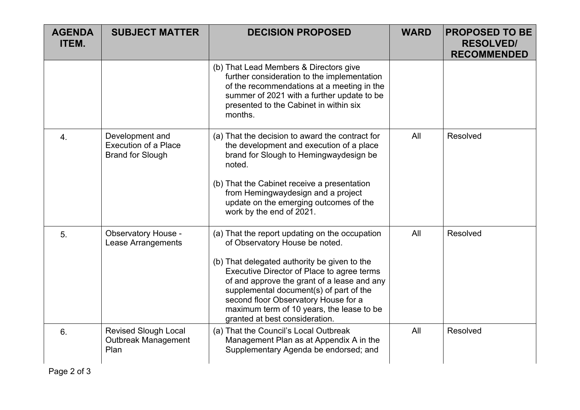| <b>AGENDA</b><br><b>ITEM.</b> | <b>SUBJECT MATTER</b>                                                     | <b>DECISION PROPOSED</b>                                                                                                                                                                                                                                                                                                                                                                        | <b>WARD</b> | <b>PROPOSED TO BE</b><br><b>RESOLVED/</b><br><b>RECOMMENDED</b> |
|-------------------------------|---------------------------------------------------------------------------|-------------------------------------------------------------------------------------------------------------------------------------------------------------------------------------------------------------------------------------------------------------------------------------------------------------------------------------------------------------------------------------------------|-------------|-----------------------------------------------------------------|
|                               |                                                                           | (b) That Lead Members & Directors give<br>further consideration to the implementation<br>of the recommendations at a meeting in the<br>summer of 2021 with a further update to be<br>presented to the Cabinet in within six<br>months.                                                                                                                                                          |             |                                                                 |
| 4.                            | Development and<br><b>Execution of a Place</b><br><b>Brand for Slough</b> | (a) That the decision to award the contract for<br>the development and execution of a place<br>brand for Slough to Hemingwaydesign be<br>noted.<br>(b) That the Cabinet receive a presentation<br>from Hemingwaydesign and a project<br>update on the emerging outcomes of the<br>work by the end of 2021.                                                                                      | All         | Resolved                                                        |
| 5.                            | <b>Observatory House -</b><br>Lease Arrangements                          | (a) That the report updating on the occupation<br>of Observatory House be noted.<br>(b) That delegated authority be given to the<br>Executive Director of Place to agree terms<br>of and approve the grant of a lease and any<br>supplemental document(s) of part of the<br>second floor Observatory House for a<br>maximum term of 10 years, the lease to be<br>granted at best consideration. | All         | Resolved                                                        |
| 6.                            | <b>Revised Slough Local</b><br><b>Outbreak Management</b><br>Plan         | (a) That the Council's Local Outbreak<br>Management Plan as at Appendix A in the<br>Supplementary Agenda be endorsed; and                                                                                                                                                                                                                                                                       | All         | Resolved                                                        |